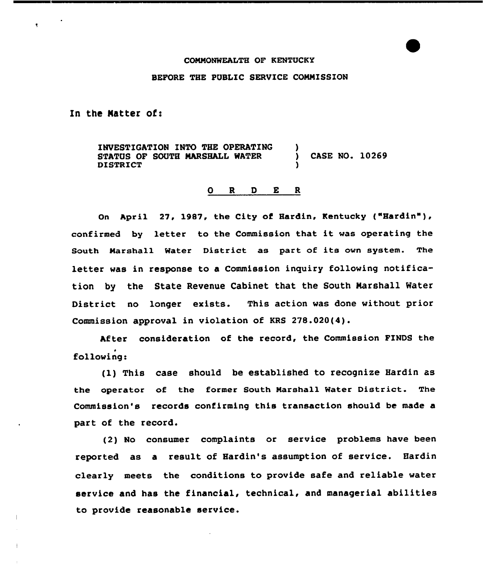## COMHONWEALTH OF KENTUCKY

## BEFORE THE PUBLIC SERVICE COMMISSION

In the Natter of:

 $\bullet$ 

INVESTIGATION INTO THE OPERATING STATUS OF SOUTH MARSHALL WATER DISTRICT ) ) CASE NO. 10269 )

## 0 <sup>R</sup> <sup>D</sup> E <sup>R</sup>

On April 27, 1987, the City of Hardin, Kentucky ("Hardin"), confirmed by letter to the Commission that it was operating the South Marshall Water District as part of its own system. The letter was in response to a Commission inquiry following notification by the State Revenue Cabinet that the South Narshall Water District no longer exists. This action was done without prior Commission approval in violation of KRS 278.020(4).

After consideration of the record, the Commission FINDS the following:

(1) This case should be established to recognize Hardin as the operator of the former South Marshall Water District. The Commission's records confirming this transaction should be made a part of the record.

(2) No consumer complaints or service problems have been reported as a result of Hardin's assumption of service. Hardin clearly meets the conditions to provide safe and reliable water service and has the financial, technical, and managerial abilities to provide reasonable service.